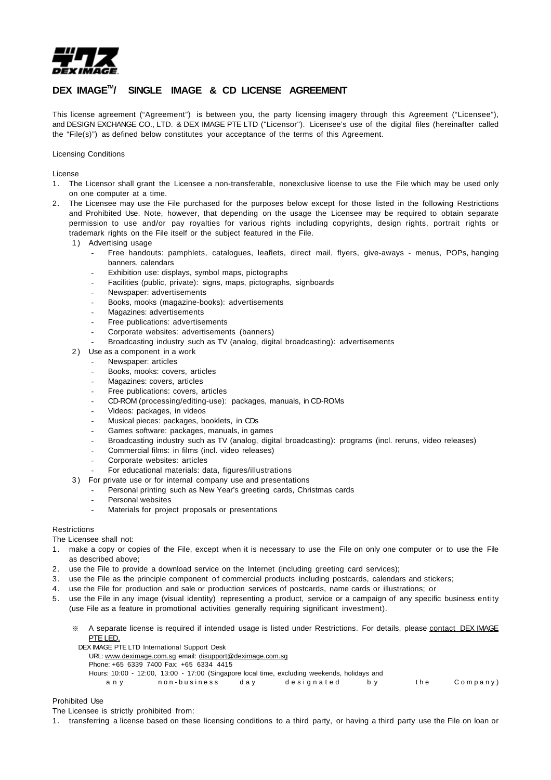

# DEX IMAGE<sup>™</sup>/ SINGLE IMAGE & CD LICENSE AGREEMENT

This license agreement ("Agreement") is between you, the party licensing imagery through this Agreement ("Licensee"), and DESIGN EXCHANGE CO., LTD. & DEX IMAGE PTE LTD ("Licensor"). Licensee's use of the digital files (hereinafter called the "File(s)") as defined below constitutes your acceptance of the terms of this Agreement.

## Licensing Conditions

License

- 1. The Licensor shall grant the Licensee a non-transferable, nonexclusive license to use the File which may be used only on one computer at a time.
- 2. The Licensee may use the File purchased for the purposes below except for those listed in the following Restrictions and Prohibited Use. Note, however, that depending on the usage the Licensee may be required to obtain separate permission to use and/or pay royalties for various rights including copyrights, design rights, portrait rights or trademark rights on the File itself or the subject featured in the File.
	- 1) Advertising usage
		- Free handouts: pamphlets, catalogues, leaflets, direct mail, flyers, give-aways menus, POPs, hanging banners, calendars
		- Exhibition use: displays, symbol maps, pictographs
		- Facilities (public, private): signs, maps, pictographs, signboards
		- Newspaper: advertisements
		- Books, mooks (magazine-books): advertisements
		- Magazines: advertisements
		- Free publications: advertisements
		- Corporate websites: advertisements (banners)
		- Broadcasting industry such as TV (analog, digital broadcasting): advertisements
	- 2) Use as a component in a work
		- Newspaper: articles
		- Books, mooks: covers, articles
		- Magazines: covers, articles
		- Free publications: covers, articles
		- CD-ROM (processing/editing-use): packages, manuals, in CD-ROMs
		- Videos: packages, in videos
		- Musical pieces: packages, booklets, in CDs
		- Games software: packages, manuals, in games
		- Broadcasting industry such as TV (analog, digital broadcasting): programs (incl. reruns, video releases)
		- Commercial films: in films (incl. video releases)
		- Corporate websites: articles
		- For educational materials: data, figures/illustrations
	- 3 ) For private use or for internal company use and presentations
		- Personal printing such as New Year's greeting cards, Christmas cards
		- Personal websites
		- Materials for project proposals or presentations

#### **Restrictions**

The Licensee shall not:

- 1. make a copy or copies of the File, except when it is necessary to use the File on only one computer or to use the File as described above;
- 2. use the File to provide a download service on the Internet (including greeting card services);
- 3. use the File as the principle component of commercial products including postcards, calendars and stickers;
- 4. use the File for production and sale or production services of postcards, name cards or illustrations; or
- 5. use the File in any image (visual identity) representing a product, service or a campaign of any specific business entity (use File as a feature in promotional activities generally requiring significant investment).
	- ※ A separate license is required if intended usage is listed under Restrictions. For details, please contact DEX IMAGE PTF LFD.
		- DEX IMAGE PTE LTD International Support Desk URL: www.deximage.com.sg email: disupport@deximage.com.sg Phone: +65 6339 7400 Fax: +65 6334 4415 Hours: 10:00 - 12:00, 13:00 - 17:00 (Singapore local time, excluding weekends, holidays and any non-business day designated by the Company)

#### Prohibited Use

The Licensee is strictly prohibited from:

1. transferring a license based on these licensing conditions to a third party, or having a third party use the File on loan or